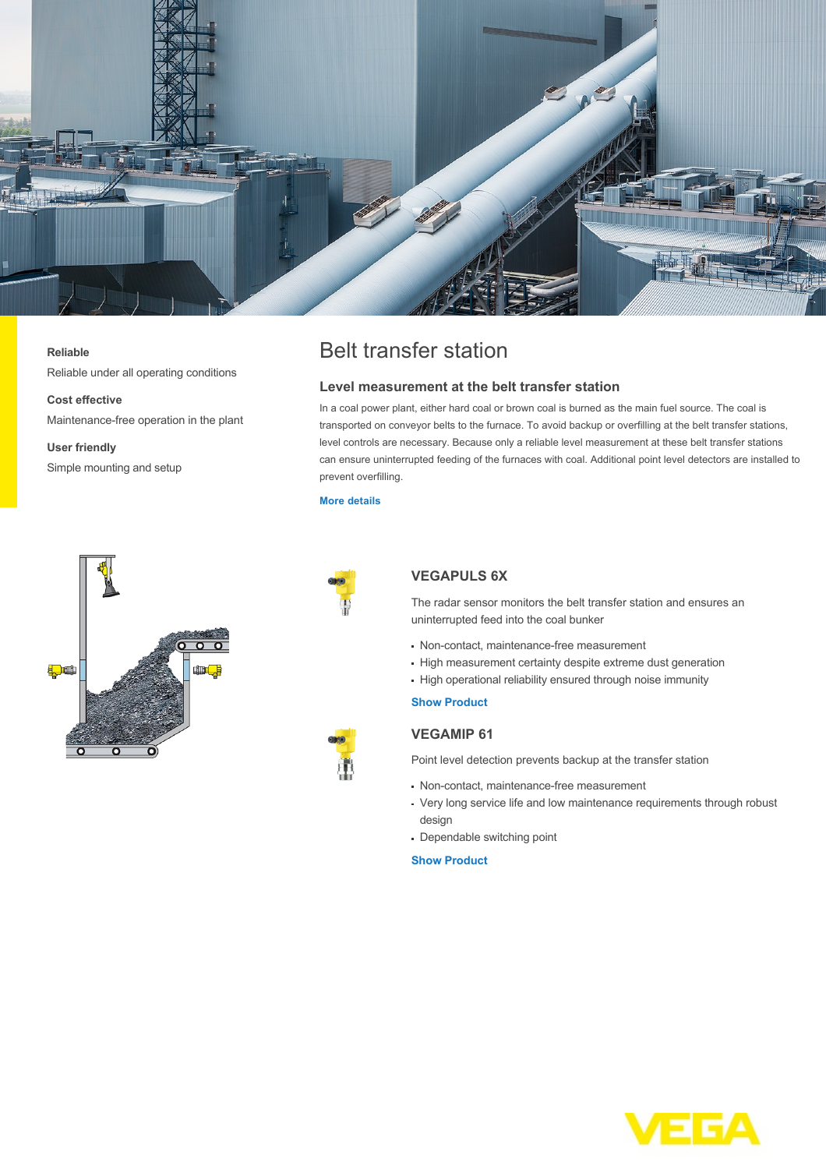

#### **Reliable**

Reliable under all operating conditions

# **Cost effective**

Maintenance-free operation in the plant

**User friendly** Simple mounting and setup



## **Level measurement at the belt transfer station**

In a coal power plant, either hard coal or brown coal is burned as the main fuel source. The coal is transported on conveyor belts to the furnace. To avoid backup or overfilling at the belt transfer stations, level controls are necessary. Because only a reliable level measurement at these belt transfer stations can ensure uninterrupted feeding of the furnaces with coal. Additional point level detectors are installed to prevent overfilling.

#### **[More details](http://localhost/en-us/industries/energy/coal-power-plant/belt-transfer-station)**





## **VEGAPULS 6X**

The radar sensor monitors the belt transfer station and ensures an uninterrupted feed into the coal bunker

- Non-contact, maintenance-free measurement
- High measurement certainty despite extreme dust generation
- High operational reliability ensured through noise immunity

#### **[Show Product](http://localhost/en-us/products/product-catalog/level/radar/vegapuls-6x)**

## **VEGAMIP 61**

Point level detection prevents backup at the transfer station

- Non-contact, maintenance-free measurement
- Very long service life and low maintenance requirements through robust design
- Dependable switching point

### **[Show Product](http://localhost/en-us/products/product-catalog/switching/radar/vegamip-r61)**